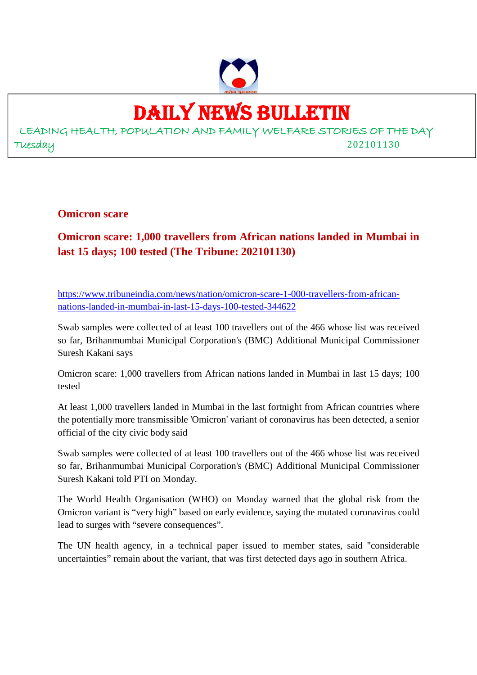

## DAILY NEWS BULLETIN

LEADING HEALTH, POPULATION AND FAMILY WELFARE STORIES OF THE DAY Tuesday 202101130

**Omicron scare**

**Omicron scare: 1,000 travellers from African nations landed in Mumbai in last 15 days; 100 tested (The Tribune: 202101130)**

https://www.tribuneindia.com/news/nation/omicron-scare-1-000-travellers-from-africannations-landed-in-mumbai-in-last-15-days-100-tested-344622

Swab samples were collected of at least 100 travellers out of the 466 whose list was received so far, Brihanmumbai Municipal Corporation's (BMC) Additional Municipal Commissioner Suresh Kakani says

Omicron scare: 1,000 travellers from African nations landed in Mumbai in last 15 days; 100 tested

At least 1,000 travellers landed in Mumbai in the last fortnight from African countries where the potentially more transmissible 'Omicron' variant of coronavirus has been detected, a senior official of the city civic body said

Swab samples were collected of at least 100 travellers out of the 466 whose list was received so far, Brihanmumbai Municipal Corporation's (BMC) Additional Municipal Commissioner Suresh Kakani told PTI on Monday.

The World Health Organisation (WHO) on Monday warned that the global risk from the Omicron variant is "very high" based on early evidence, saying the mutated coronavirus could lead to surges with "severe consequences".

The UN health agency, in a technical paper issued to member states, said "considerable uncertainties" remain about the variant, that was first detected days ago in southern Africa.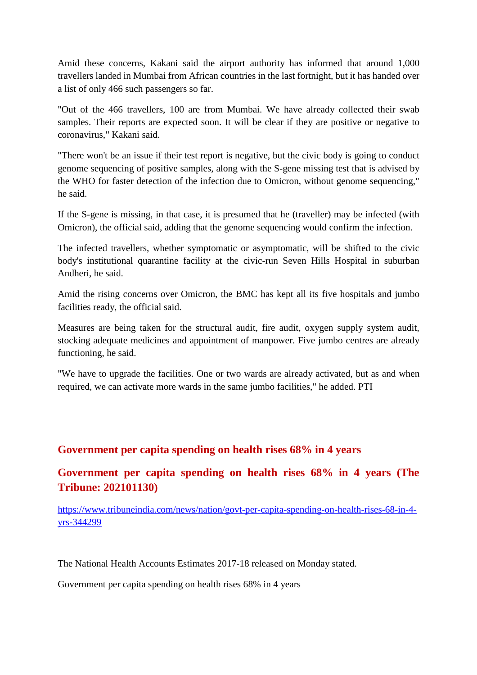Amid these concerns, Kakani said the airport authority has informed that around 1,000 travellers landed in Mumbai from African countries in the last fortnight, but it has handed over a list of only 466 such passengers so far.

"Out of the 466 travellers, 100 are from Mumbai. We have already collected their swab samples. Their reports are expected soon. It will be clear if they are positive or negative to coronavirus," Kakani said.

"There won't be an issue if their test report is negative, but the civic body is going to conduct genome sequencing of positive samples, along with the S-gene missing test that is advised by the WHO for faster detection of the infection due to Omicron, without genome sequencing," he said.

If the S-gene is missing, in that case, it is presumed that he (traveller) may be infected (with Omicron), the official said, adding that the genome sequencing would confirm the infection.

The infected travellers, whether symptomatic or asymptomatic, will be shifted to the civic body's institutional quarantine facility at the civic-run Seven Hills Hospital in suburban Andheri, he said.

Amid the rising concerns over Omicron, the BMC has kept all its five hospitals and jumbo facilities ready, the official said.

Measures are being taken for the structural audit, fire audit, oxygen supply system audit, stocking adequate medicines and appointment of manpower. Five jumbo centres are already functioning, he said.

"We have to upgrade the facilities. One or two wards are already activated, but as and when required, we can activate more wards in the same jumbo facilities," he added. PTI

#### **Government per capita spending on health rises 68% in 4 years**

**Government per capita spending on health rises 68% in 4 years (The Tribune: 202101130)**

https://www.tribuneindia.com/news/nation/govt-per-capita-spending-on-health-rises-68-in-4 yrs-344299

The National Health Accounts Estimates 2017-18 released on Monday stated.

Government per capita spending on health rises 68% in 4 years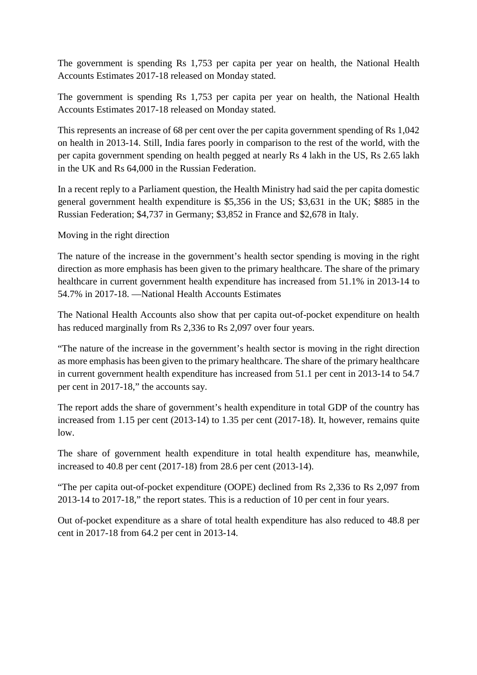The government is spending Rs 1,753 per capita per year on health, the National Health Accounts Estimates 2017-18 released on Monday stated.

The government is spending Rs 1,753 per capita per year on health, the National Health Accounts Estimates 2017-18 released on Monday stated.

This represents an increase of 68 per cent over the per capita government spending of Rs 1,042 on health in 2013-14. Still, India fares poorly in comparison to the rest of the world, with the per capita government spending on health pegged at nearly Rs 4 lakh in the US, Rs 2.65 lakh in the UK and Rs 64,000 in the Russian Federation.

In a recent reply to a Parliament question, the Health Ministry had said the per capita domestic general government health expenditure is \$5,356 in the US; \$3,631 in the UK; \$885 in the Russian Federation; \$4,737 in Germany; \$3,852 in France and \$2,678 in Italy.

Moving in the right direction

The nature of the increase in the government's health sector spending is moving in the right direction as more emphasis has been given to the primary healthcare. The share of the primary healthcare in current government health expenditure has increased from 51.1% in 2013-14 to 54.7% in 2017-18. —National Health Accounts Estimates

The National Health Accounts also show that per capita out-of-pocket expenditure on health has reduced marginally from Rs 2,336 to Rs 2,097 over four years.

"The nature of the increase in the government's health sector is moving in the right direction as more emphasis has been given to the primary healthcare. The share of the primary healthcare in current government health expenditure has increased from 51.1 per cent in 2013-14 to 54.7 per cent in 2017-18," the accounts say.

The report adds the share of government's health expenditure in total GDP of the country has increased from 1.15 per cent (2013-14) to 1.35 per cent (2017-18). It, however, remains quite low.

The share of government health expenditure in total health expenditure has, meanwhile, increased to 40.8 per cent (2017-18) from 28.6 per cent (2013-14).

"The per capita out-of-pocket expenditure (OOPE) declined from Rs 2,336 to Rs 2,097 from 2013-14 to 2017-18," the report states. This is a reduction of 10 per cent in four years.

Out of-pocket expenditure as a share of total health expenditure has also reduced to 48.8 per cent in 2017-18 from 64.2 per cent in 2013-14.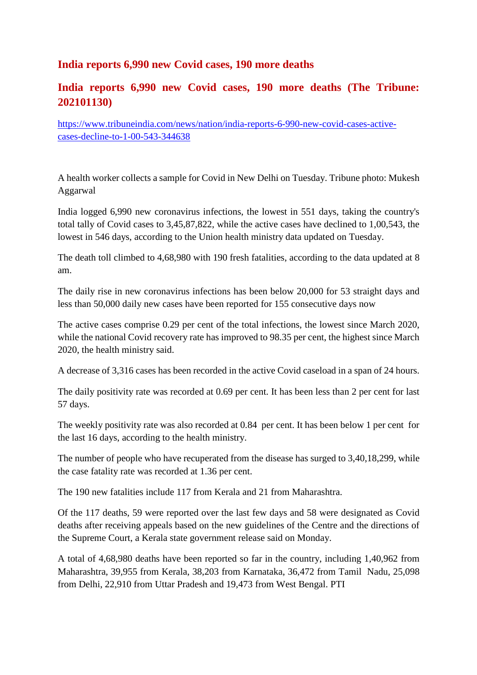#### **India reports 6,990 new Covid cases, 190 more deaths**

#### **India reports 6,990 new Covid cases, 190 more deaths (The Tribune: 202101130)**

https://www.tribuneindia.com/news/nation/india-reports-6-990-new-covid-cases-activecases-decline-to-1-00-543-344638

A health worker collects a sample for Covid in New Delhi on Tuesday. Tribune photo: Mukesh Aggarwal

India logged 6,990 new coronavirus infections, the lowest in 551 days, taking the country's total tally of Covid cases to 3,45,87,822, while the active cases have declined to 1,00,543, the lowest in 546 days, according to the Union health ministry data updated on Tuesday.

The death toll climbed to 4,68,980 with 190 fresh fatalities, according to the data updated at 8 am.

The daily rise in new coronavirus infections has been below 20,000 for 53 straight days and less than 50,000 daily new cases have been reported for 155 consecutive days now

The active cases comprise 0.29 per cent of the total infections, the lowest since March 2020, while the national Covid recovery rate has improved to 98.35 per cent, the highest since March 2020, the health ministry said.

A decrease of 3,316 cases has been recorded in the active Covid caseload in a span of 24 hours.

The daily positivity rate was recorded at 0.69 per cent. It has been less than 2 per cent for last 57 days.

The weekly positivity rate was also recorded at 0.84 per cent. It has been below 1 per cent for the last 16 days, according to the health ministry.

The number of people who have recuperated from the disease has surged to 3,40,18,299, while the case fatality rate was recorded at 1.36 per cent.

The 190 new fatalities include 117 from Kerala and 21 from Maharashtra.

Of the 117 deaths, 59 were reported over the last few days and 58 were designated as Covid deaths after receiving appeals based on the new guidelines of the Centre and the directions of the Supreme Court, a Kerala state government release said on Monday.

A total of 4,68,980 deaths have been reported so far in the country, including 1,40,962 from Maharashtra, 39,955 from Kerala, 38,203 from Karnataka, 36,472 from Tamil Nadu, 25,098 from Delhi, 22,910 from Uttar Pradesh and 19,473 from West Bengal. PTI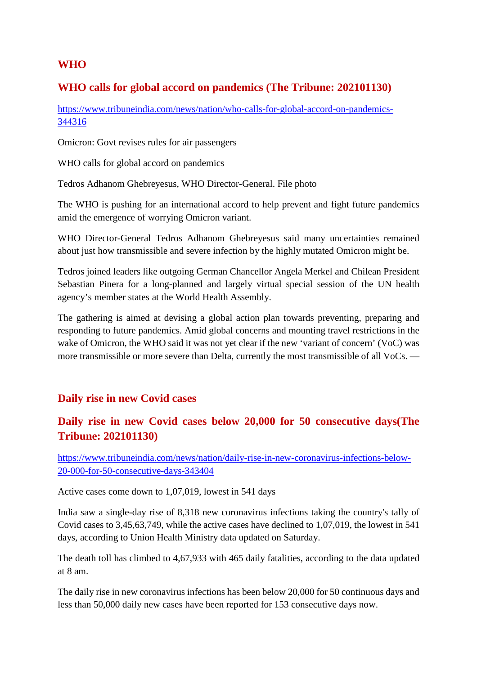#### **WHO**

#### **WHO calls for global accord on pandemics (The Tribune: 202101130)**

https://www.tribuneindia.com/news/nation/who-calls-for-global-accord-on-pandemics-344316

Omicron: Govt revises rules for air passengers

WHO calls for global accord on pandemics

Tedros Adhanom Ghebreyesus, WHO Director-General. File photo

The WHO is pushing for an international accord to help prevent and fight future pandemics amid the emergence of worrying Omicron variant.

WHO Director-General Tedros Adhanom Ghebreyesus said many uncertainties remained about just how transmissible and severe infection by the highly mutated Omicron might be.

Tedros joined leaders like outgoing German Chancellor Angela Merkel and Chilean President Sebastian Pinera for a long-planned and largely virtual special session of the UN health agency's member states at the World Health Assembly.

The gathering is aimed at devising a global action plan towards preventing, preparing and responding to future pandemics. Amid global concerns and mounting travel restrictions in the wake of Omicron, the WHO said it was not yet clear if the new 'variant of concern' (VoC) was more transmissible or more severe than Delta, currently the most transmissible of all VoCs. —

#### **Daily rise in new Covid cases**

#### **Daily rise in new Covid cases below 20,000 for 50 consecutive days(The Tribune: 202101130)**

https://www.tribuneindia.com/news/nation/daily-rise-in-new-coronavirus-infections-below-20-000-for-50-consecutive-days-343404

Active cases come down to 1,07,019, lowest in 541 days

India saw a single-day rise of 8,318 new coronavirus infections taking the country's tally of Covid cases to 3,45,63,749, while the active cases have declined to 1,07,019, the lowest in 541 days, according to Union Health Ministry data updated on Saturday.

The death toll has climbed to 4,67,933 with 465 daily fatalities, according to the data updated at 8 am.

The daily rise in new coronavirus infections has been below 20,000 for 50 continuous days and less than 50,000 daily new cases have been reported for 153 consecutive days now.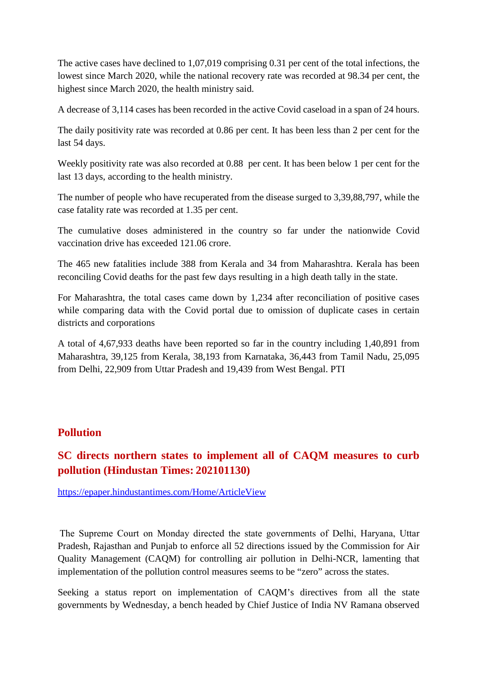The active cases have declined to 1,07,019 comprising 0.31 per cent of the total infections, the lowest since March 2020, while the national recovery rate was recorded at 98.34 per cent, the highest since March 2020, the health ministry said.

A decrease of 3,114 cases has been recorded in the active Covid caseload in a span of 24 hours.

The daily positivity rate was recorded at 0.86 per cent. It has been less than 2 per cent for the last 54 days.

Weekly positivity rate was also recorded at 0.88 per cent. It has been below 1 per cent for the last 13 days, according to the health ministry.

The number of people who have recuperated from the disease surged to 3,39,88,797, while the case fatality rate was recorded at 1.35 per cent.

The cumulative doses administered in the country so far under the nationwide Covid vaccination drive has exceeded 121.06 crore.

The 465 new fatalities include 388 from Kerala and 34 from Maharashtra. Kerala has been reconciling Covid deaths for the past few days resulting in a high death tally in the state.

For Maharashtra, the total cases came down by 1,234 after reconciliation of positive cases while comparing data with the Covid portal due to omission of duplicate cases in certain districts and corporations

A total of 4,67,933 deaths have been reported so far in the country including 1,40,891 from Maharashtra, 39,125 from Kerala, 38,193 from Karnataka, 36,443 from Tamil Nadu, 25,095 from Delhi, 22,909 from Uttar Pradesh and 19,439 from West Bengal. PTI

#### **Pollution**

#### **SC directs northern states to implement all of CAQM measures to curb pollution (Hindustan Times: 202101130)**

https://epaper.hindustantimes.com/Home/ArticleView

The Supreme Court on Monday directed the state governments of Delhi, Haryana, Uttar Pradesh, Rajasthan and Punjab to enforce all 52 directions issued by the Commission for Air Quality Management (CAQM) for controlling air pollution in Delhi-NCR, lamenting that implementation of the pollution control measures seems to be "zero" across the states.

Seeking a status report on implementation of CAQM's directives from all the state governments by Wednesday, a bench headed by Chief Justice of India NV Ramana observed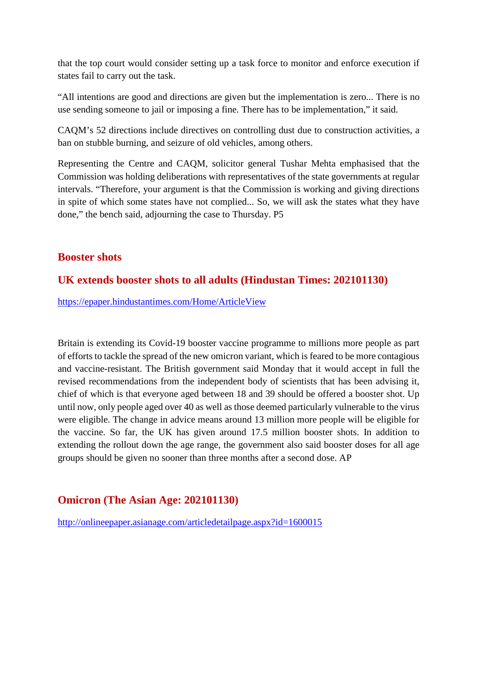that the top court would consider setting up a task force to monitor and enforce execution if states fail to carry out the task.

"All intentions are good and directions are given but the implementation is zero... There is no use sending someone to jail or imposing a fine. There has to be implementation," it said.

CAQM's 52 directions include directives on controlling dust due to construction activities, a ban on stubble burning, and seizure of old vehicles, among others.

Representing the Centre and CAQM, solicitor general Tushar Mehta emphasised that the Commission was holding deliberations with representatives of the state governments at regular intervals. "Therefore, your argument is that the Commission is working and giving directions in spite of which some states have not complied... So, we will ask the states what they have done," the bench said, adjourning the case to Thursday. P5

#### **Booster shots**

#### **UK extends booster shots to all adults (Hindustan Times: 202101130)**

https://epaper.hindustantimes.com/Home/ArticleView

Britain is extending its Covid-19 booster vaccine programme to millions more people as part of efforts to tackle the spread of the new omicron variant, which is feared to be more contagious and vaccine-resistant. The British government said Monday that it would accept in full the revised recommendations from the independent body of scientists that has been advising it, chief of which is that everyone aged between 18 and 39 should be offered a booster shot. Up until now, only people aged over 40 as well as those deemed particularly vulnerable to the virus were eligible. The change in advice means around 13 million more people will be eligible for the vaccine. So far, the UK has given around 17.5 million booster shots. In addition to extending the rollout down the age range, the government also said booster doses for all age groups should be given no sooner than three months after a second dose. AP

#### **Omicron (The Asian Age: 202101130)**

http://onlineepaper.asianage.com/articledetailpage.aspx?id=1600015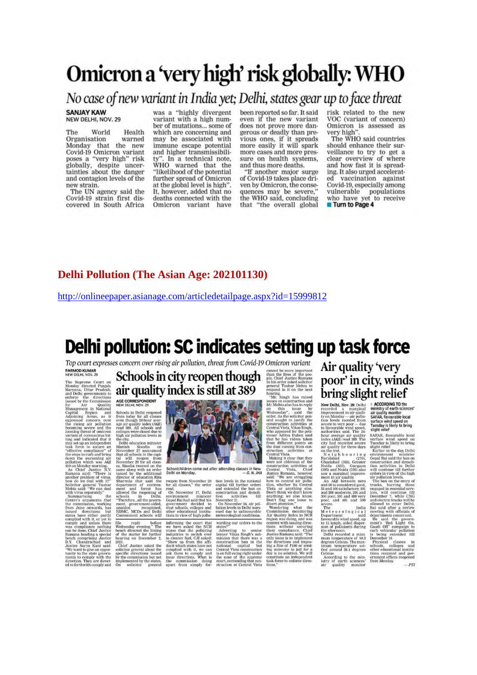# Omicron a 'very high' risk globally: WHO

No case of new variant in India yet; Delhi, states gear up to face threat

**SANJAY KAW** NEW DELHI, NOV. 29

World Health The Organisation warned Monday that the new<br>Covid-19 Omicron variant poses a "very high" risk<br>globally, despite uncer-<br>tainties about the danger and contagion levels of the new strain.

The UN agency said the Covid-19 strain first discovered in South Africa

was a "highly divergent variant with a high number of mutations... some of which are concerning and may be associated with immune escape potential and higher transmissibility". In a technical note,<br>WHO warned that the "likelihood of the potential<br>further spread of Omicron at the global level is high". It, however, added that no deaths connected with the Omicron variant have

been reported so far. It said even if the new variant does not prove more dangerous or deadly than previous ones, if it spreads<br>more easily it will spark more cases and more pressure on health systems, and thus more deaths.

"If another major surge of Covid-19 takes place driven by Omicron, the consequences may be severe," the WHO said, concluding that "the overall global

risk related to the new VOC (variant of concern) Omicron is assessed as very high'

The WHO said countries should enhance their surveillance to try to get a clear overview of where<br>and how fast it is spreading. It also urged acceleratvaccination against ed Covid-19, especially among vulnerable populations who have yet to receive Turn to Page 4

#### **Delhi Pollution (The Asian Age: 202101130)**

http://onlineepaper.asianage.com/articledetailpage.aspx?id=15999812

## Delhi pollution: SC indicates setting up task force

Top court expresses concern over rising air pollution, threat from Covid-19 Omicron variant

PARMOD KUMAR<br>NEW DELHI, NOV. 29

New DeLri, Nov. 29<br>
The Supreme Court on<br>
Monday directed Punjab,<br>
Haryana, Uttar Pradésh,<br>
Haryana, Uttar Pradésh,<br>
and Delhi governmentino<br>
stand by discussion<br>
for the Commission<br>
Management in National<br>
Capital — Regio

the rising air pollution and the beam at the beam and induced boroning severe and the transmit of contrasting and induced that it was the space of the step to severe and induced that it is the step to severe and the steps

Schools in city reopen though air quality index is still at 389 AGE CORRESPONDENT

AGE CORRESPONDENT<br>
NEW DELHI, NOV. 29<br>
Schools in Delhi reopenes<br>
from boday for all classes<br>
even throughly the<br>
even throughly index (AQD)<br>
reset aroundly in index (AQD)<br>
reset aroundly in index (AQD)<br>
reset aroundly in

camoment scroos will<br>
file reply before the Wednesday evening.<br>
The bench directed the listing<br>
of the matter for further<br>
2021.<br>
Andre school the listing on December 2,

next<br>
2021.<br>
Chief Justice asked the<br>
specific directions issued<br>
by the commission but not<br>
implemented by the states.<br>
On solicitor general



Schoolchildren come out after attending classes in New<br>Delhi on Monday. – G. N. JHA

meteorological conditions<br>
warding our orders to the<br>
states" and the states" states" and<br>
alwayer Vikas Singh's sub-<br>
mission that there was a<br>
construction ban in the<br>
national explaint but<br>
Central Vista construction<br>
i

reopen from Nowember 29 tion levels in the national trace<br>for all classes," the order capital till further orders read, read, read,<br> $\sim$  00 November 17, Delhi construction and denoted<br>become environment environment and th

will tions in view of high pollu-<br>fore informing the court that<br>The we have asked the NCR<br>The we have asked the NCR<br>ther Industries to switch over<br>ther I molustries to switch over<br>the module of the complete dividend the co

**Common Definition Control Control Control Control Control Control Control Control Control Control Control Control Control Control Control Control Control Control Control Control Control Control Control Control Control Con** 

the use coming form the control of the<br>second control of the second of the second of the second of the<br>second of the control of the control of the control of the control of<br>second of the control of the control of the contr

Air quality 'very poor' in city, winds bring slight relief

New Delhi, Nov. 29: Delhi<br>recorded a marginal improvement in air quality<br>ton Monday — air pollution<br>ton levels receded from<br>to favourable wind speed,<br>authorities said. The 24-<br>authorities said. The 24severe to very poor — due Tuesday is likely to bring<br>to favourable wind speed, slight relief<br>and the Sava The 24. Slight relief<br>hour average air quality SAFAR, favourable local<br>index (AQ) read 300, The Sava Slight relief<br>c

ACCORDING TO the<br>ministry of earth sciences'<br>sir quality monitor<br>SAFAR, favourable local<br>surface wind speed on surface wind speed on<br>Tuesday is likely to bring<br>slight relief

air quality for three days signific relations for Earlier in the day scheme of the ratio of the ratio of the ratio of the ratio of the ratio of the ratio of the ratio of Neidabad (355), Greent construction and demoli-<br>Cal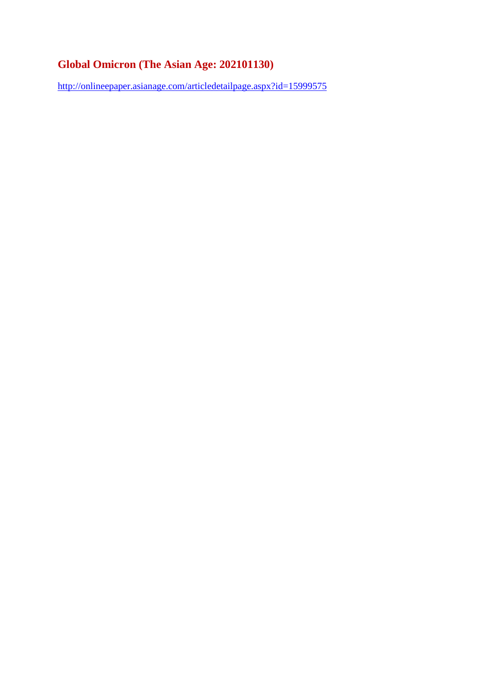#### **Global Omicron (The Asian Age: 202101130)**

http://onlineepaper.asianage.com/articledetailpage.aspx?id=15999575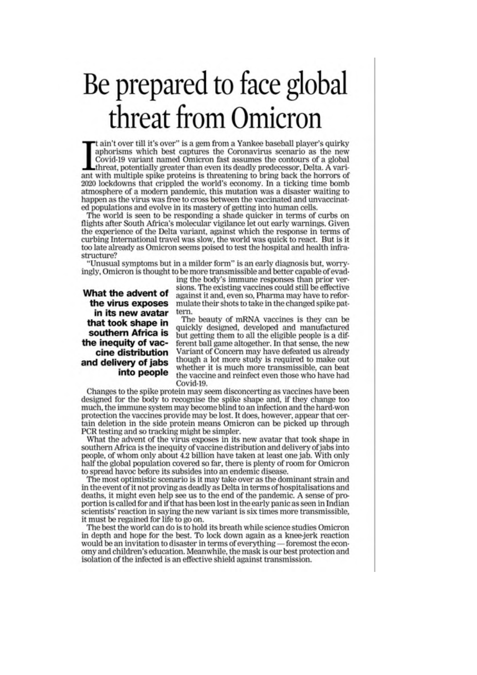# Be prepared to face global threat from Omicron

't ain't over till it's over" is a gem from a Yankee baseball player's quirky aphorisms which best captures the Coronavirus scenario as the new Covid-19 variant named Omicron fast assumes the contours of a global threat, potentially greater than even its deadly predecessor, Delta. A variant with multiple spike proteins is threatening to bring back the horrors of 2020 lockdowns that crippled the world's economy. In a ticking time bomb atmosphere of a modern pandemic, this mutation was a disaster waiting to happen as the virus was free to cross between the vaccinated and unvaccinated populations and evolve in its mastery of getting into human cells.

The world is seen to be responding a shade quicker in terms of curbs on flights after South Africa's molecular vigilance let out early warnings. Given the experience of the Delta variant, against which the response in terms of curbing International travel was slow, the world was quick to react. But is it too late already as Omicron seems poised to test the hospital and health infrastructure?

"Unusual symptoms but in a milder form" is an early diagnosis but, worryingly, Omicron is thought to be more transmissible and better capable of evad-

#### What the advent of the virus exposes in its new avatar that took shape in southern Africa is the inequity of vaccine distribution and delivery of jabs into people

ing the body's immune responses than prior versions. The existing vaccines could still be effective against it and, even so, Pharma may have to reformulate their shots to take in the changed spike pattern.

The beauty of mRNA vaccines is they can be quickly designed, developed and manufactured but getting them to all the eligible people is a different ball game altogether. In that sense, the new Variant of Concern may have defeated us already though a lot more study is required to make out whether it is much more transmissible, can beat the vaccine and reinfect even those who have had Covid-19.

Changes to the spike protein may seem disconcerting as vaccines have been designed for the body to recognise the spike shape and, if they change too much, the immune system may become blind to an infection and the hard-won protection the vaccines provide may be lost. It does, however, appear that certain deletion in the side protein means Omicron can be picked up through PCR testing and so tracking might be simpler.

What the advent of the virus exposes in its new avatar that took shape in southern Africa is the inequity of vaccine distribution and delivery of jabs into people, of whom only about 4.2 billion have taken at least one jab. With only half the global population covered so far, there is plenty of room for Omicron to spread havoc before its subsides into an endemic disease.

The most optimistic scenario is it may take over as the dominant strain and in the event of it not proving as deadly as Delta in terms of hospitalisations and deaths, it might even help see us to the end of the pandemic. A sense of proportion is called for and if that has been lost in the early panic as seen in Indian scientists' reaction in saying the new variant is six times more transmissible, it must be regained for life to go on.

The best the world can do is to hold its breath while science studies Omicron in depth and hope for the best. To lock down again as a knee-jerk reaction would be an invitation to disaster in terms of everything — foremost the economy and children's education. Meanwhile, the mask is our best protection and isolation of the infected is an effective shield against transmission.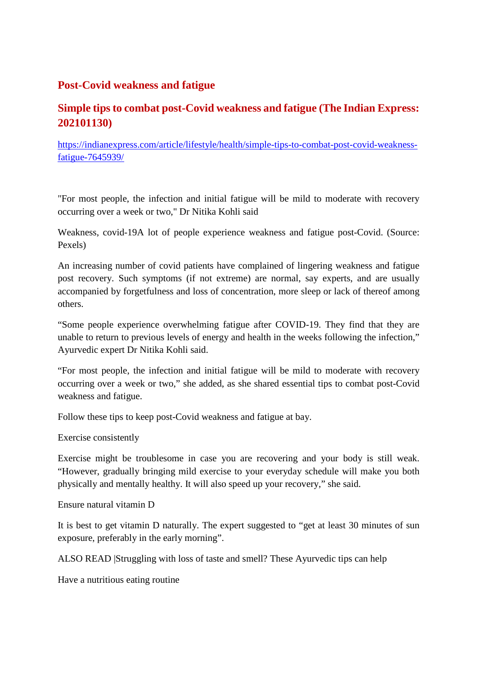#### **Post-Covid weakness and fatigue**

#### **Simple tips to combat post-Covid weakness and fatigue (The Indian Express: 202101130)**

https://indianexpress.com/article/lifestyle/health/simple-tips-to-combat-post-covid-weaknessfatigue-7645939/

"For most people, the infection and initial fatigue will be mild to moderate with recovery occurring over a week or two," Dr Nitika Kohli said

Weakness, covid-19A lot of people experience weakness and fatigue post-Covid. (Source: Pexels)

An increasing number of covid patients have complained of lingering weakness and fatigue post recovery. Such symptoms (if not extreme) are normal, say experts, and are usually accompanied by forgetfulness and loss of concentration, more sleep or lack of thereof among others.

"Some people experience overwhelming fatigue after COVID-19. They find that they are unable to return to previous levels of energy and health in the weeks following the infection," Ayurvedic expert Dr Nitika Kohli said.

"For most people, the infection and initial fatigue will be mild to moderate with recovery occurring over a week or two," she added, as she shared essential tips to combat post-Covid weakness and fatigue.

Follow these tips to keep post-Covid weakness and fatigue at bay.

Exercise consistently

Exercise might be troublesome in case you are recovering and your body is still weak. "However, gradually bringing mild exercise to your everyday schedule will make you both physically and mentally healthy. It will also speed up your recovery," she said.

Ensure natural vitamin D

It is best to get vitamin D naturally. The expert suggested to "get at least 30 minutes of sun exposure, preferably in the early morning".

ALSO READ |Struggling with loss of taste and smell? These Ayurvedic tips can help

Have a nutritious eating routine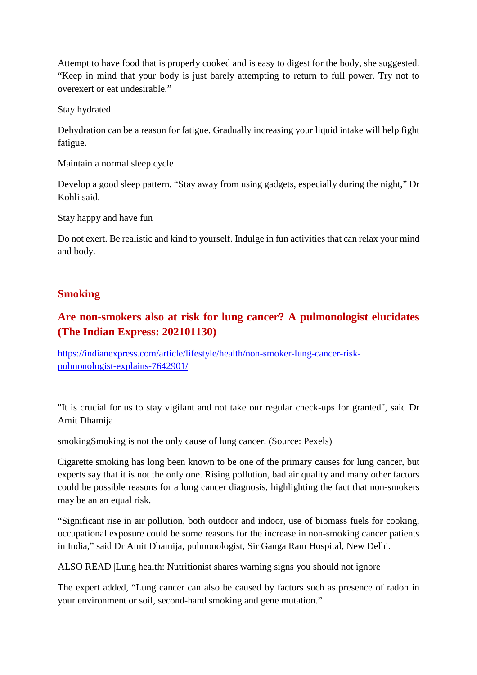Attempt to have food that is properly cooked and is easy to digest for the body, she suggested. "Keep in mind that your body is just barely attempting to return to full power. Try not to overexert or eat undesirable."

Stay hydrated

Dehydration can be a reason for fatigue. Gradually increasing your liquid intake will help fight fatigue.

Maintain a normal sleep cycle

Develop a good sleep pattern. "Stay away from using gadgets, especially during the night," Dr Kohli said.

Stay happy and have fun

Do not exert. Be realistic and kind to yourself. Indulge in fun activities that can relax your mind and body.

#### **Smoking**

#### **Are non-smokers also at risk for lung cancer? A pulmonologist elucidates (The Indian Express: 202101130)**

https://indianexpress.com/article/lifestyle/health/non-smoker-lung-cancer-riskpulmonologist-explains-7642901/

"It is crucial for us to stay vigilant and not take our regular check-ups for granted", said Dr Amit Dhamija

smokingSmoking is not the only cause of lung cancer. (Source: Pexels)

Cigarette smoking has long been known to be one of the primary causes for lung cancer, but experts say that it is not the only one. Rising pollution, bad air quality and many other factors could be possible reasons for a lung cancer diagnosis, highlighting the fact that non-smokers may be an an equal risk.

"Significant rise in air pollution, both outdoor and indoor, use of biomass fuels for cooking, occupational exposure could be some reasons for the increase in non-smoking cancer patients in India," said Dr Amit Dhamija, pulmonologist, Sir Ganga Ram Hospital, New Delhi.

ALSO READ |Lung health: Nutritionist shares warning signs you should not ignore

The expert added, "Lung cancer can also be caused by factors such as presence of radon in your environment or soil, second-hand smoking and gene mutation."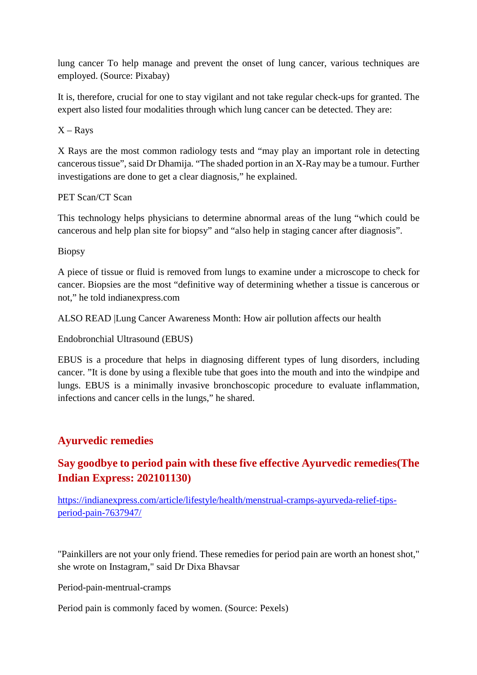lung cancer To help manage and prevent the onset of lung cancer, various techniques are employed. (Source: Pixabay)

It is, therefore, crucial for one to stay vigilant and not take regular check-ups for granted. The expert also listed four modalities through which lung cancer can be detected. They are:

 $X - Rays$ 

X Rays are the most common radiology tests and "may play an important role in detecting cancerous tissue", said Dr Dhamija. "The shaded portion in an X-Ray may be a tumour. Further investigations are done to get a clear diagnosis," he explained.

PET Scan/CT Scan

This technology helps physicians to determine abnormal areas of the lung "which could be cancerous and help plan site for biopsy" and "also help in staging cancer after diagnosis".

Biopsy

A piece of tissue or fluid is removed from lungs to examine under a microscope to check for cancer. Biopsies are the most "definitive way of determining whether a tissue is cancerous or not," he told indianexpress.com

ALSO READ |Lung Cancer Awareness Month: How air pollution affects our health

Endobronchial Ultrasound (EBUS)

EBUS is a procedure that helps in diagnosing different types of lung disorders, including cancer. "It is done by using a flexible tube that goes into the mouth and into the windpipe and lungs. EBUS is a minimally invasive bronchoscopic procedure to evaluate inflammation, infections and cancer cells in the lungs," he shared.

#### **Ayurvedic remedies**

#### **Say goodbye to period pain with these five effective Ayurvedic remedies(The Indian Express: 202101130)**

https://indianexpress.com/article/lifestyle/health/menstrual-cramps-ayurveda-relief-tipsperiod-pain-7637947/

"Painkillers are not your only friend. These remedies for period pain are worth an honest shot," she wrote on Instagram," said Dr Dixa Bhavsar

Period-pain-mentrual-cramps

Period pain is commonly faced by women. (Source: Pexels)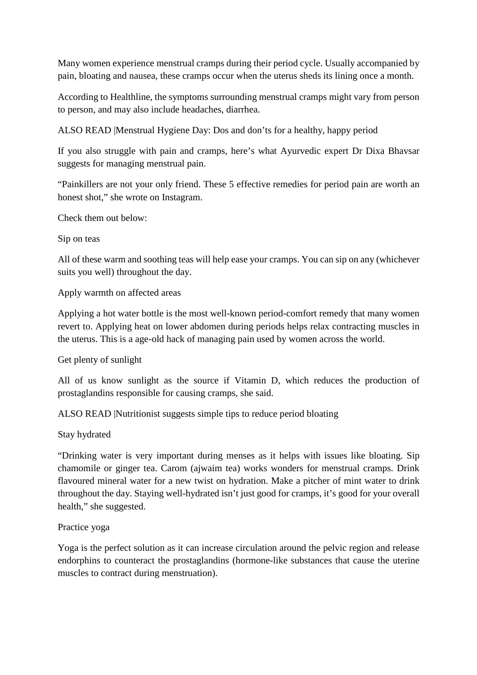Many women experience menstrual cramps during their period cycle. Usually accompanied by pain, bloating and nausea, these cramps occur when the uterus sheds its lining once a month.

According to Healthline, the symptoms surrounding menstrual cramps might vary from person to person, and may also include headaches, diarrhea.

ALSO READ |Menstrual Hygiene Day: Dos and don'ts for a healthy, happy period

If you also struggle with pain and cramps, here's what Ayurvedic expert Dr Dixa Bhavsar suggests for managing menstrual pain.

"Painkillers are not your only friend. These 5 effective remedies for period pain are worth an honest shot," she wrote on Instagram.

Check them out below:

Sip on teas

All of these warm and soothing teas will help ease your cramps. You can sip on any (whichever suits you well) throughout the day.

Apply warmth on affected areas

Applying a hot water bottle is the most well-known period-comfort remedy that many women revert to. Applying heat on lower abdomen during periods helps relax contracting muscles in the uterus. This is a age-old hack of managing pain used by women across the world.

Get plenty of sunlight

All of us know sunlight as the source if Vitamin D, which reduces the production of prostaglandins responsible for causing cramps, she said.

ALSO READ |Nutritionist suggests simple tips to reduce period bloating

Stay hydrated

"Drinking water is very important during menses as it helps with issues like bloating. Sip chamomile or ginger tea. Carom (ajwaim tea) works wonders for menstrual cramps. Drink flavoured mineral water for a new twist on hydration. Make a pitcher of mint water to drink throughout the day. Staying well-hydrated isn't just good for cramps, it's good for your overall health," she suggested.

#### Practice yoga

Yoga is the perfect solution as it can increase circulation around the pelvic region and release endorphins to counteract the prostaglandins (hormone-like substances that cause the uterine muscles to contract during menstruation).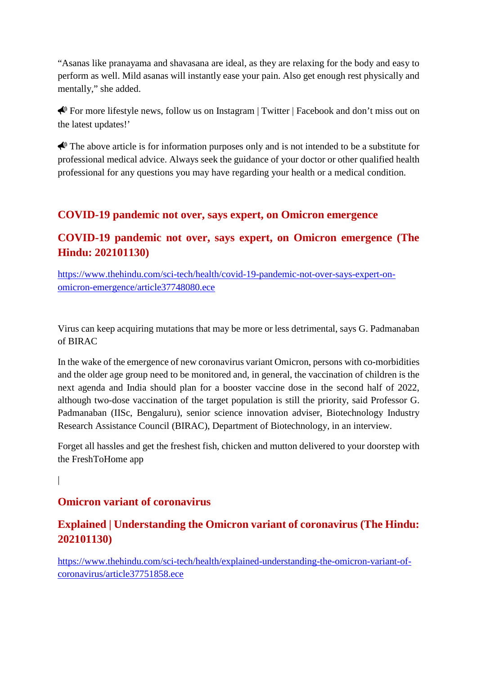"Asanas like pranayama and shavasana are ideal, as they are relaxing for the body and easy to perform as well. Mild asanas will instantly ease your pain. Also get enough rest physically and mentally," she added.

For more lifestyle news, follow us on Instagram | Twitter | Facebook and don't miss out on the latest updates!'

 $\bigotimes$  The above article is for information purposes only and is not intended to be a substitute for professional medical advice. Always seek the guidance of your doctor or other qualified health professional for any questions you may have regarding your health or a medical condition.

#### **COVID-19 pandemic not over, says expert, on Omicron emergence**

#### **COVID-19 pandemic not over, says expert, on Omicron emergence (The Hindu: 202101130)**

https://www.thehindu.com/sci-tech/health/covid-19-pandemic-not-over-says-expert-onomicron-emergence/article37748080.ece

Virus can keep acquiring mutations that may be more or less detrimental, says G. Padmanaban of BIRAC

In the wake of the emergence of new coronavirus variant Omicron, persons with co-morbidities and the older age group need to be monitored and, in general, the vaccination of children is the next agenda and India should plan for a booster vaccine dose in the second half of 2022, although two-dose vaccination of the target population is still the priority, said Professor G. Padmanaban (IISc, Bengaluru), senior science innovation adviser, Biotechnology Industry Research Assistance Council (BIRAC), Department of Biotechnology, in an interview.

Forget all hassles and get the freshest fish, chicken and mutton delivered to your doorstep with the FreshToHome app

|

#### **Omicron variant of coronavirus**

#### **Explained | Understanding the Omicron variant of coronavirus (The Hindu: 202101130)**

https://www.thehindu.com/sci-tech/health/explained-understanding-the-omicron-variant-ofcoronavirus/article37751858.ece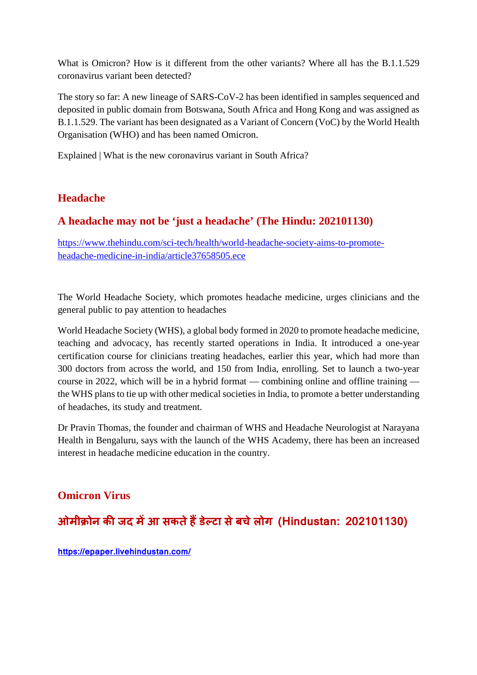What is Omicron? How is it different from the other variants? Where all has the B.1.1.529 coronavirus variant been detected?

The story so far: A new lineage of SARS-CoV-2 has been identified in samples sequenced and deposited in public domain from Botswana, South Africa and Hong Kong and was assigned as B.1.1.529. The variant has been designated as a Variant of Concern (VoC) by the World Health Organisation (WHO) and has been named Omicron.

Explained | What is the new coronavirus variant in South Africa?

#### **Headache**

#### **A headache may not be 'just a headache' (The Hindu: 202101130)**

https://www.thehindu.com/sci-tech/health/world-headache-society-aims-to-promoteheadache-medicine-in-india/article37658505.ece

The World Headache Society, which promotes headache medicine, urges clinicians and the general public to pay attention to headaches

World Headache Society (WHS), a global body formed in 2020 to promote headache medicine, teaching and advocacy, has recently started operations in India. It introduced a one-year certification course for clinicians treating headaches, earlier this year, which had more than 300 doctors from across the world, and 150 from India, enrolling. Set to launch a two-year course in 2022, which will be in a hybrid format — combining online and offline training the WHS plans to tie up with other medical societies in India, to promote a better understanding of headaches, its study and treatment.

Dr Pravin Thomas, the founder and chairman of WHS and Headache Neurologist at Narayana Health in Bengaluru, says with the launch of the WHS Academy, there has been an increased interest in headache medicine education in the country.

#### **Omicron Virus**

**ओमी ोन कजद मआ सकतेहडे टा सेबचेलोग (Hindustan: 202101130)**

**https://epaper.livehindustan.com/**